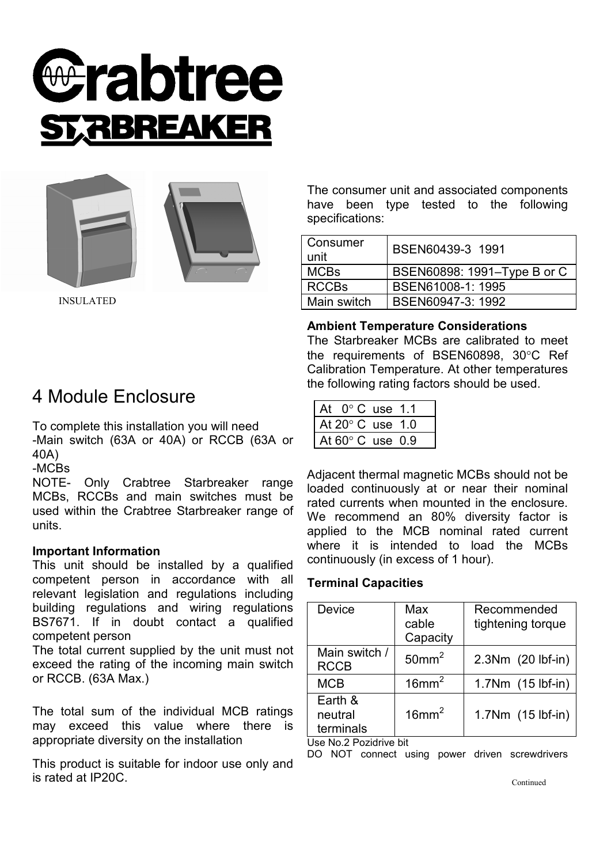





INSULATED

The consumer unit and associated components have been type tested to the following specifications:

| Consumer<br>unit | BSEN60439-3 1991            |
|------------------|-----------------------------|
| <b>MCBs</b>      | BSEN60898: 1991–Type B or C |
| <b>RCCBs</b>     | BSEN61008-1: 1995           |
| Main switch      | BSEN60947-3: 1992           |

#### **Ambient Temperature Considerations**

The Starbreaker MCBs are calibrated to meet the requirements of BSEN60898, 30°C Ref Calibration Temperature. At other temperatures the following rating factors should be used.

| At $0^{\circ}$ C use 1.1   |  |
|----------------------------|--|
| At 20 $^{\circ}$ C use 1.0 |  |
| At 60° C use 0.9           |  |

Adjacent thermal magnetic MCBs should not be loaded continuously at or near their nominal rated currents when mounted in the enclosure. We recommend an 80% diversity factor is applied to the MCB nominal rated current where it is intended to load the MCBs continuously (in excess of 1 hour).

## **Terminal Capacities**

| Device                          | Max<br>cable<br>Capacity | Recommended<br>tightening torque |  |  |
|---------------------------------|--------------------------|----------------------------------|--|--|
| Main switch /<br><b>RCCB</b>    | 50mm <sup>2</sup>        | 2.3Nm (20 lbf-in)                |  |  |
| <b>MCB</b>                      | $16$ mm <sup>2</sup>     | 1.7Nm (15 lbf-in)                |  |  |
| Earth &<br>neutral<br>terminals | $16$ mm <sup>2</sup>     | 1.7Nm (15 lbf-in)                |  |  |
| t loo No و Dogidrive bit        |                          |                                  |  |  |

Use No.2 Pozidrive bit

DO NOT connect using power driven screwdrivers

Continued

# 4 Module Enclosure

To complete this installation you will need -Main switch (63A or 40A) or RCCB (63A or 40A)

-MCBs

NOTE- Only Crabtree Starbreaker range MCBs, RCCBs and main switches must be used within the Crabtree Starbreaker range of units.

## **Important Information**

This unit should be installed by a qualified competent person in accordance with all relevant legislation and regulations including building regulations and wiring regulations BS7671. If in doubt contact a qualified competent person

The total current supplied by the unit must not exceed the rating of the incoming main switch or RCCB. (63A Max.)

The total sum of the individual MCB ratings may exceed this value where there is appropriate diversity on the installation

This product is suitable for indoor use only and is rated at IP20C.